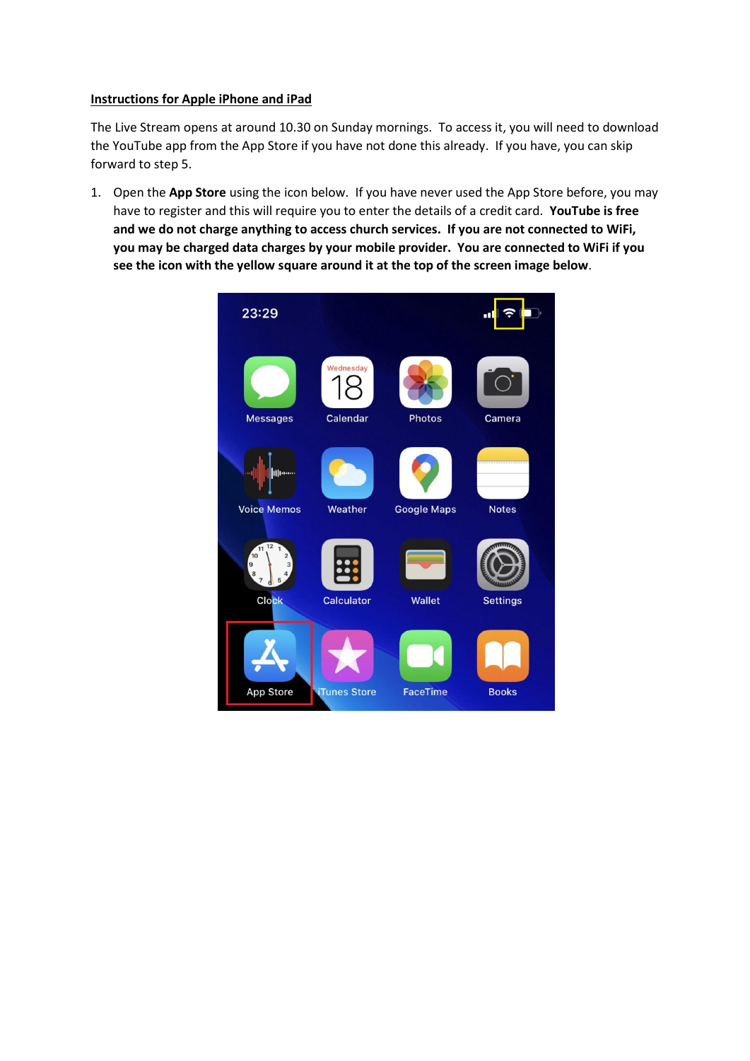## **Instructions for Apple iPhone and iPad**

The Live Stream opens at around 10.30 on Sunday mornings. To access it, you will need to download the YouTube app from the App Store if you have not done this already. If you have, you can skip forward to step 5.

1. Open the **App Store** using the icon below. If you have never used the App Store before, you may have to register and this will require you to enter the details of a credit card. **YouTube is free and we do not charge anything to access church services. If you are not connected to WiFi, you may be charged data charges by your mobile provider. You are connected to WiFi if you see the icon with the yellow square around it at the top of the screen image below**.

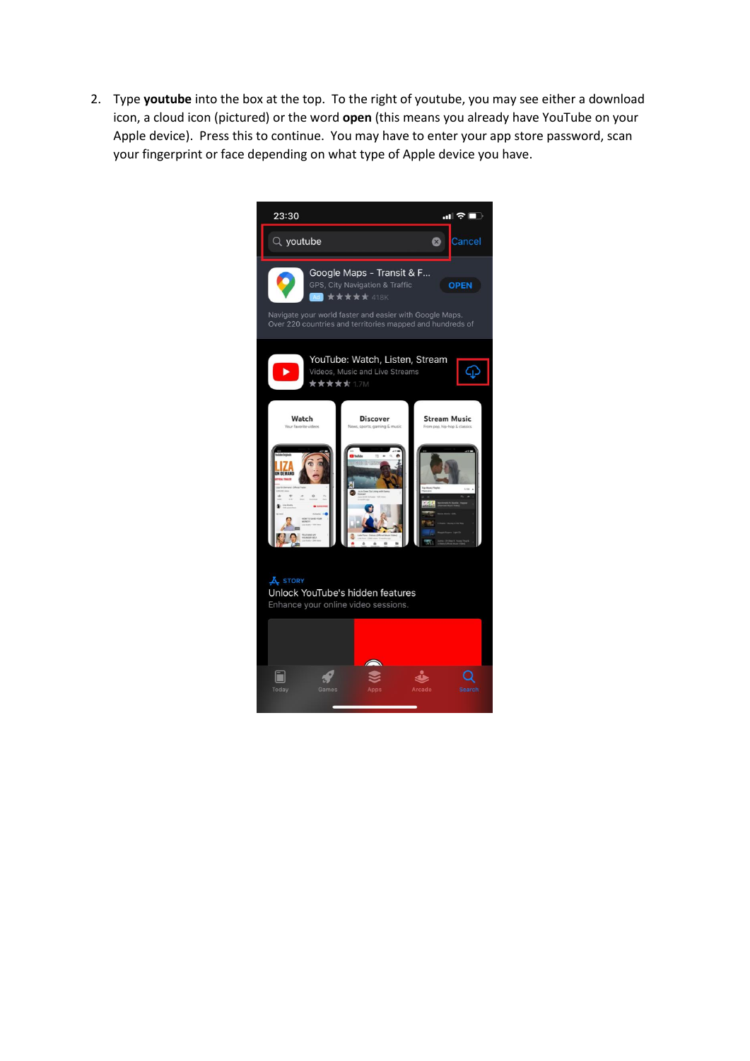2. Type **youtube** into the box at the top. To the right of youtube, you may see either a download icon, a cloud icon (pictured) or the word **open** (this means you already have YouTube on your Apple device). Press this to continue. You may have to enter your app store password, scan your fingerprint or face depending on what type of Apple device you have.

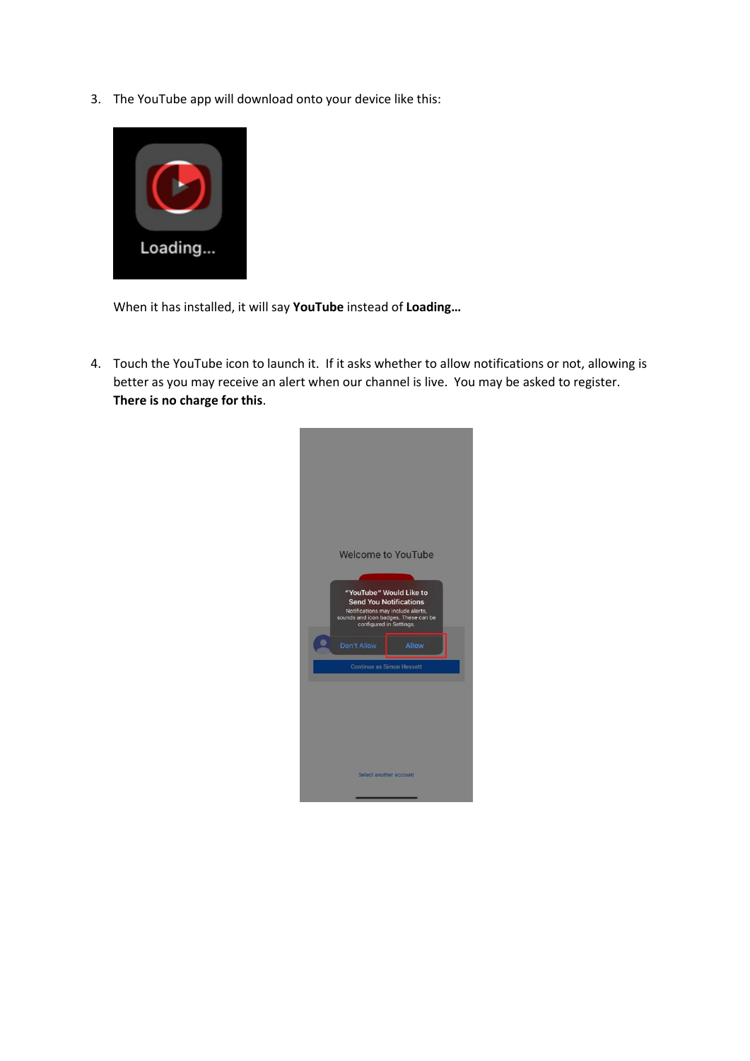3. The YouTube app will download onto your device like this:



When it has installed, it will say **YouTube** instead of **Loading…**

4. Touch the YouTube icon to launch it. If it asks whether to allow notifications or not, allowing is better as you may receive an alert when our channel is live. You may be asked to register. **There is no charge for this**.

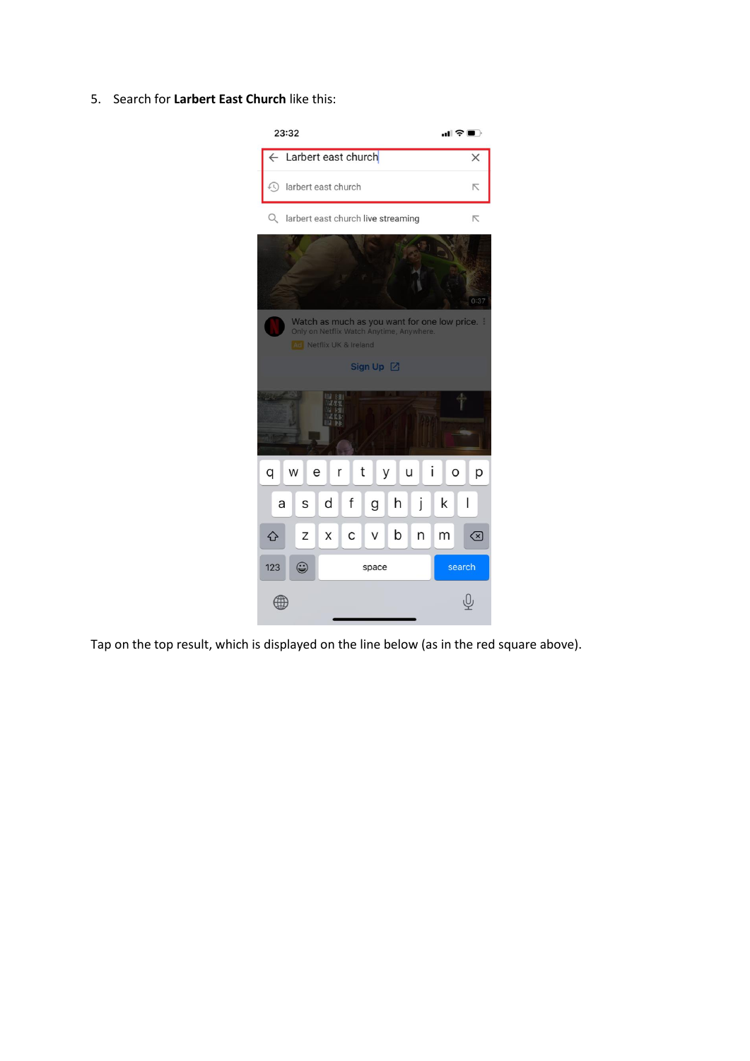5. Search for **Larbert East Church** like this:



Tap on the top result, which is displayed on the line below (as in the red square above).